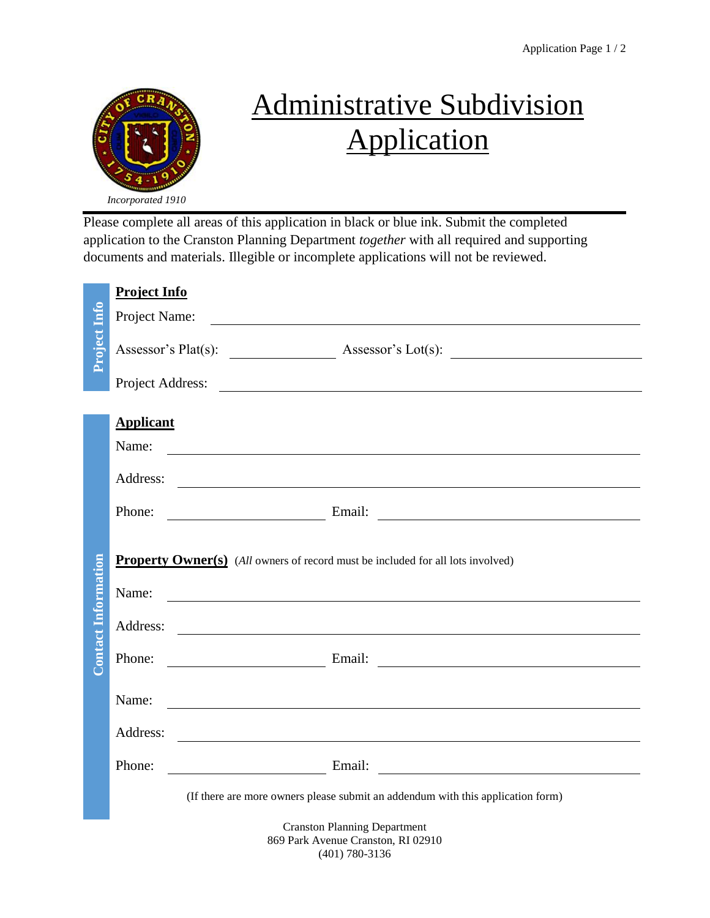

## Administrative Subdivision Application

Please complete all areas of this application in black or blue ink. Submit the completed application to the Cranston Planning Department *together* with all required and supporting documents and materials. Illegible or incomplete applications will not be reviewed.

|                            | <b>Project Info</b>                                                                                                                                                                                                                      |  |
|----------------------------|------------------------------------------------------------------------------------------------------------------------------------------------------------------------------------------------------------------------------------------|--|
|                            | Project Name:                                                                                                                                                                                                                            |  |
| Project Info               |                                                                                                                                                                                                                                          |  |
|                            | Project Address:                                                                                                                                                                                                                         |  |
|                            | <b>Applicant</b>                                                                                                                                                                                                                         |  |
|                            | Name:<br><u> 1989 - Johann Barn, fransk politik amerikansk politik (</u>                                                                                                                                                                 |  |
|                            | Address:<br><u> 1999 - Johann John Stone, markin sanadi bashkan asl nashrida ma'lumot boʻlgan ma'lumot boʻlgan boʻlgan boʻlga</u>                                                                                                        |  |
|                            | Phone:<br>Email:<br><u> 1980 - Andrea Station Barbara, amerikan personal (h. 1980).</u>                                                                                                                                                  |  |
|                            |                                                                                                                                                                                                                                          |  |
|                            | <b>Property Owner(s)</b> (All owners of record must be included for all lots involved)                                                                                                                                                   |  |
|                            | Name:<br><u> 1989 - Johann Barbara, martin amerikan basal dan berasal dan berasal dalam basal dan berasal dan berasal dan</u>                                                                                                            |  |
| <b>Contact Information</b> | Address:<br><u> 1980 - Johann Stoff, deutscher Stoffen und der Stoffen und der Stoffen und der Stoffen und der Stoffen und de</u>                                                                                                        |  |
|                            | Email: Email: Email: Email: Email: Email: Email: Email: Email: Email: Email: Email: Email: Email: Email: Email: Email: Email: Email: Email: Email: Email: Email: Email: Email: Email: Email: Email: Email: Email: Email: Email<br>Phone: |  |
|                            | Name:<br><u> 1989 - Johann Stein, mars an deutscher Stein und der Stein und der Stein und der Stein und der Stein und der</u>                                                                                                            |  |
|                            | Address:                                                                                                                                                                                                                                 |  |
|                            | Email:<br>Phone:                                                                                                                                                                                                                         |  |
|                            | (If there are more owners please submit an addendum with this application form)                                                                                                                                                          |  |
|                            | <b>Cranston Planning Department</b><br>869 Park Avenue Cranston, RI 02910<br>$(401) 780 - 3136$                                                                                                                                          |  |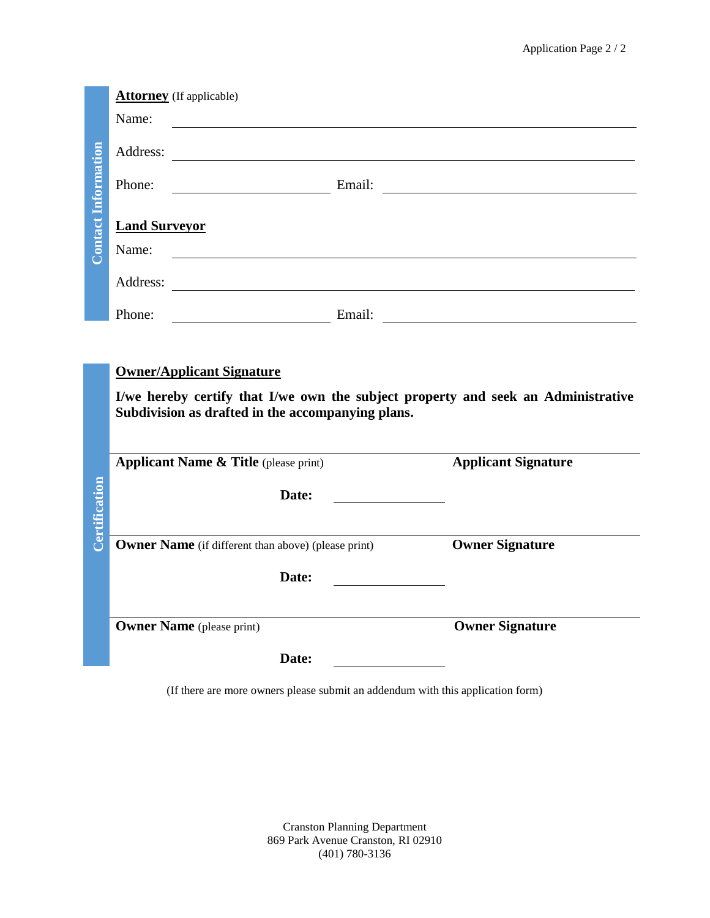|                            |                      | <b>Attorney</b> (If applicable)                            |                                                                                                                                                                                                                                |
|----------------------------|----------------------|------------------------------------------------------------|--------------------------------------------------------------------------------------------------------------------------------------------------------------------------------------------------------------------------------|
|                            | Name:                |                                                            |                                                                                                                                                                                                                                |
| <b>Contact Information</b> |                      |                                                            |                                                                                                                                                                                                                                |
|                            | Phone:               |                                                            | Email: Email: Email: 2007. [20] Email: 2007. [20] Email: 2018. [20] Email: 2018. [20] Email: 2018. [20] Email: 2018. [20] Email: 2018. [20] Email: 2018. [20] Email: 2018. [20] Email: 2018. [20] Email: 2018. [20] Email: 201 |
|                            | <b>Land Surveyor</b> |                                                            |                                                                                                                                                                                                                                |
|                            | Name:                | <u> 1980 - Johann Barnett, fransk politik (d. 1980)</u>    |                                                                                                                                                                                                                                |
|                            |                      |                                                            |                                                                                                                                                                                                                                |
|                            | Phone:               |                                                            | <u>Email:</u> Email: Email: 2007. [2016]                                                                                                                                                                                       |
|                            |                      | <b>Owner/Applicant Signature</b>                           |                                                                                                                                                                                                                                |
| <b>Certification</b>       |                      | Subdivision as drafted in the accompanying plans.          | I/we hereby certify that I/we own the subject property and seek an Administrative                                                                                                                                              |
|                            |                      | <b>Applicant Name &amp; Title</b> (please print)           | <b>Applicant Signature</b>                                                                                                                                                                                                     |
|                            |                      | Date:                                                      | <u> 1989 - Johann Barbara, martx</u>                                                                                                                                                                                           |
|                            |                      | <b>Owner Name</b> (if different than above) (please print) | <b>Owner Signature</b>                                                                                                                                                                                                         |
|                            |                      | Date:                                                      |                                                                                                                                                                                                                                |
|                            |                      | <b>Owner Name</b> (please print)                           | <b>Owner Signature</b>                                                                                                                                                                                                         |
|                            |                      |                                                            |                                                                                                                                                                                                                                |

(If there are more owners please submit an addendum with this application form)

Cranston Planning Department 869 Park Avenue Cranston, RI 02910 (401) 780-3136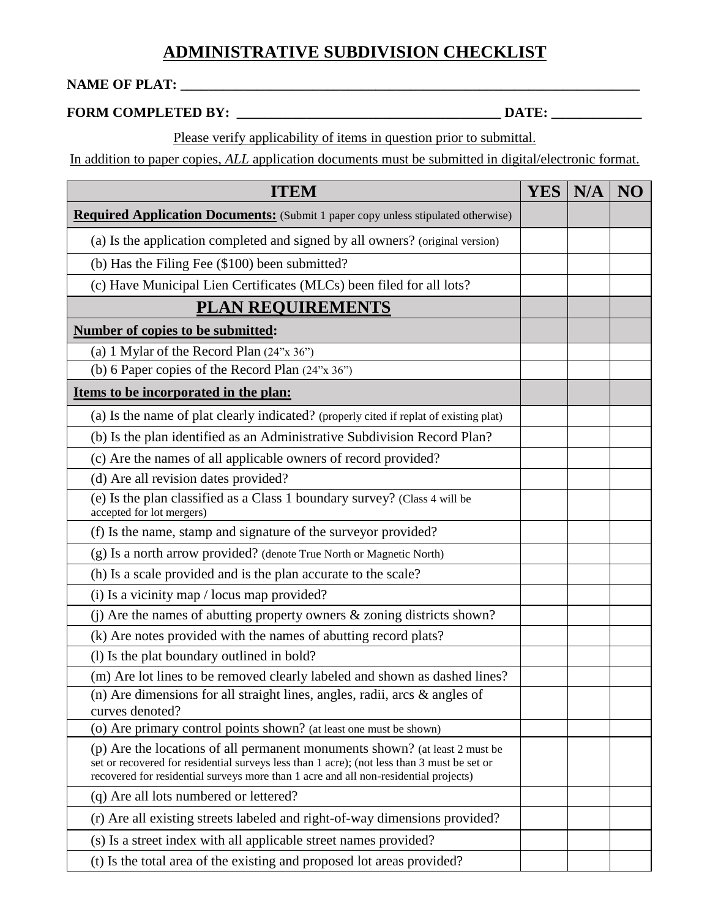## **ADMINISTRATIVE SUBDIVISION CHECKLIST**

## **NAME OF PLAT: \_\_\_\_\_\_\_\_\_\_\_\_\_\_\_\_\_\_\_\_\_\_\_\_\_\_\_\_\_\_\_\_\_\_\_\_\_\_\_\_\_\_\_\_\_\_\_\_\_\_\_\_\_\_\_\_\_\_\_\_\_\_\_\_\_\_**

## **FORM COMPLETED BY: \_\_\_\_\_\_\_\_\_\_\_\_\_\_\_\_\_\_\_\_\_\_\_\_\_\_\_\_\_\_\_\_\_\_\_\_\_\_ DATE: \_\_\_\_\_\_\_\_\_\_\_\_\_**

Please verify applicability of items in question prior to submittal.

In addition to paper copies, *ALL* application documents must be submitted in digital/electronic format.

| <b>ITEM</b>                                                                                                                                                                                                                                                        | <b>YES</b> | N/A | NO |
|--------------------------------------------------------------------------------------------------------------------------------------------------------------------------------------------------------------------------------------------------------------------|------------|-----|----|
| <b>Required Application Documents:</b> (Submit 1 paper copy unless stipulated otherwise)                                                                                                                                                                           |            |     |    |
| (a) Is the application completed and signed by all owners? (original version)                                                                                                                                                                                      |            |     |    |
| (b) Has the Filing Fee (\$100) been submitted?                                                                                                                                                                                                                     |            |     |    |
| (c) Have Municipal Lien Certificates (MLCs) been filed for all lots?                                                                                                                                                                                               |            |     |    |
| <b>PLAN REQUIREMENTS</b>                                                                                                                                                                                                                                           |            |     |    |
| Number of copies to be submitted:                                                                                                                                                                                                                                  |            |     |    |
| (a) 1 Mylar of the Record Plan $(24"x 36")$                                                                                                                                                                                                                        |            |     |    |
| (b) 6 Paper copies of the Record Plan (24"x 36")                                                                                                                                                                                                                   |            |     |    |
| Items to be incorporated in the plan:                                                                                                                                                                                                                              |            |     |    |
| (a) Is the name of plat clearly indicated? (properly cited if replat of existing plat)                                                                                                                                                                             |            |     |    |
| (b) Is the plan identified as an Administrative Subdivision Record Plan?                                                                                                                                                                                           |            |     |    |
| (c) Are the names of all applicable owners of record provided?                                                                                                                                                                                                     |            |     |    |
| (d) Are all revision dates provided?                                                                                                                                                                                                                               |            |     |    |
| (e) Is the plan classified as a Class 1 boundary survey? (Class 4 will be<br>accepted for lot mergers)                                                                                                                                                             |            |     |    |
| (f) Is the name, stamp and signature of the surveyor provided?                                                                                                                                                                                                     |            |     |    |
| (g) Is a north arrow provided? (denote True North or Magnetic North)                                                                                                                                                                                               |            |     |    |
| (h) Is a scale provided and is the plan accurate to the scale?                                                                                                                                                                                                     |            |     |    |
| (i) Is a vicinity map / locus map provided?                                                                                                                                                                                                                        |            |     |    |
| (j) Are the names of abutting property owners $\&$ zoning districts shown?                                                                                                                                                                                         |            |     |    |
| (k) Are notes provided with the names of abutting record plats?                                                                                                                                                                                                    |            |     |    |
| (l) Is the plat boundary outlined in bold?                                                                                                                                                                                                                         |            |     |    |
| (m) Are lot lines to be removed clearly labeled and shown as dashed lines?                                                                                                                                                                                         |            |     |    |
| (n) Are dimensions for all straight lines, angles, radii, arcs $\&$ angles of<br>curves denoted?                                                                                                                                                                   |            |     |    |
| (o) Are primary control points shown? (at least one must be shown)                                                                                                                                                                                                 |            |     |    |
| (p) Are the locations of all permanent monuments shown? (at least 2 must be<br>set or recovered for residential surveys less than 1 acre); (not less than 3 must be set or<br>recovered for residential surveys more than 1 acre and all non-residential projects) |            |     |    |
| (q) Are all lots numbered or lettered?                                                                                                                                                                                                                             |            |     |    |
| (r) Are all existing streets labeled and right-of-way dimensions provided?                                                                                                                                                                                         |            |     |    |
| (s) Is a street index with all applicable street names provided?                                                                                                                                                                                                   |            |     |    |
| (t) Is the total area of the existing and proposed lot areas provided?                                                                                                                                                                                             |            |     |    |